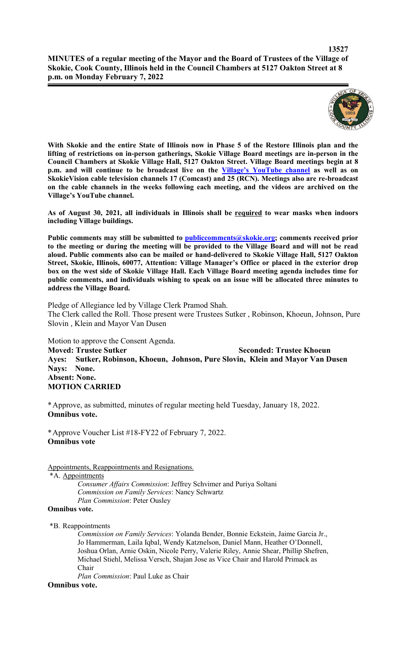

**With Skokie and the entire State of Illinois now in Phase 5 of the Restore Illinois plan and the lifting of restrictions on in-person gatherings, Skokie Village Board meetings are in-person in the Council Chambers at Skokie Village Hall, 5127 Oakton Street. Village Board meetings begin at 8 p.m. and will continue to be broadcast live on the Village's YouTube channel as well as on SkokieVision cable television channels 17 (Comcast) and 25 (RCN). Meetings also are re-broadcast on the cable channels in the weeks following each meeting, and the videos are archived on the Village's YouTube channel.**

**As of August 30, 2021, all individuals in Illinois shall be required to wear masks when indoors including Village buildings.** 

Public comments may still be submitted to **publiccomments@skokie.org;** comments received prior **to the meeting or during the meeting will be provided to the Village Board and will not be read aloud. Public comments also can be mailed or hand-delivered to Skokie Village Hall, 5127 Oakton Street, Skokie, Illinois, 60077, Attention: Village Manager's Office or placed in the exterior drop box on the west side of Skokie Village Hall. Each Village Board meeting agenda includes time for public comments, and individuals wishing to speak on an issue will be allocated three minutes to address the Village Board.**

Pledge of Allegiance led by Village Clerk Pramod Shah. The Clerk called the Roll. Those present were Trustees Sutker , Robinson, Khoeun, Johnson, Pure Slovin , Klein and Mayor Van Dusen

Motion to approve the Consent Agenda. **Moved: Trustee Sutker Seconded: Trustee Khoeun Ayes: Sutker, Robinson, Khoeun, Johnson, Pure Slovin, Klein and Mayor Van Dusen Nays: None. Absent: None. MOTION CARRIED**

\*Approve, as submitted, minutes of regular meeting held Tuesday, January 18, 2022. **Omnibus vote.**

\*Approve Voucher List #18-FY22 of February 7, 2022. **Omnibus vote**

#### Appointments, Reappointments and Resignations.

\*A. Appointments

*Consumer Affairs Commission*: Jeffrey Schvimer and Puriya Soltani *Commission on Family Services*: Nancy Schwartz *Plan Commission*: Peter Ousley

#### **Omnibus vote.**

\*B. Reappointments

*Commission on Family Services*: Yolanda Bender, Bonnie Eckstein, Jaime Garcia Jr., Jo Hammerman, Laila Iqbal, Wendy Katznelson, Daniel Mann, Heather O'Donnell, Joshua Orlan, Arnie Oskin, Nicole Perry, Valerie Riley, Annie Shear, Phillip Shefren, Michael Stiehl, Melissa Versch, Shajan Jose as Vice Chair and Harold Primack as Chair

*Plan Commission*: Paul Luke as Chair

#### **Omnibus vote.**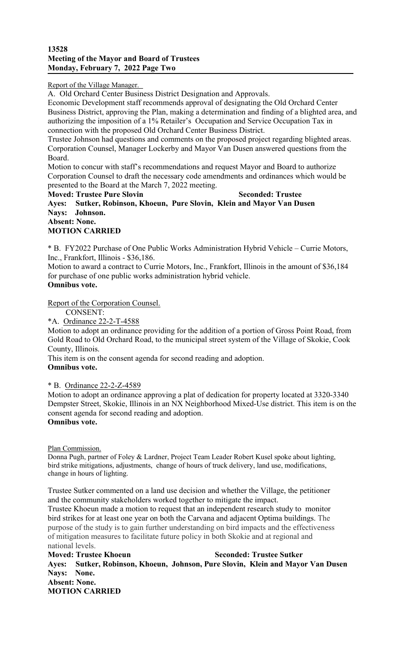Report of the Village Manager.

A. Old Orchard Center Business District Designation and Approvals.

Economic Development staff recommends approval of designating the Old Orchard Center Business District, approving the Plan, making a determination and finding of a blighted area, and authorizing the imposition of a 1% Retailer's Occupation and Service Occupation Tax in connection with the proposed Old Orchard Center Business District.

Trustee Johnson had questions and comments on the proposed project regarding blighted areas. Corporation Counsel, Manager Lockerby and Mayor Van Dusen answered questions from the Board.

Motion to concur with staff's recommendations and request Mayor and Board to authorize Corporation Counsel to draft the necessary code amendments and ordinances which would be presented to the Board at the March 7, 2022 meeting.

**Moved: Trustee Pure Slovin Seconded: Trustee Ayes: Sutker, Robinson, Khoeun, Pure Slovin, Klein and Mayor Van Dusen Nays: Johnson. Absent: None.** 

# **MOTION CARRIED**

\* B. FY2022 Purchase of One Public Works Administration Hybrid Vehicle – Currie Motors, Inc., Frankfort, Illinois - \$36,186.

Motion to award a contract to Currie Motors, Inc., Frankfort, Illinois in the amount of \$36,184 for purchase of one public works administration hybrid vehicle.

## **Omnibus vote.**

Report of the Corporation Counsel.

CONSENT:

\*A. Ordinance 22-2-T-4588

Motion to adopt an ordinance providing for the addition of a portion of Gross Point Road, from Gold Road to Old Orchard Road, to the municipal street system of the Village of Skokie, Cook County, Illinois.

This item is on the consent agenda for second reading and adoption. **Omnibus vote.**

\* B. Ordinance 22-2-Z-4589

Motion to adopt an ordinance approving a plat of dedication for property located at 3320-3340 Dempster Street, Skokie, Illinois in an NX Neighborhood Mixed-Use district. This item is on the consent agenda for second reading and adoption. **Omnibus vote.**

Plan Commission.

Donna Pugh, partner of Foley & Lardner, Project Team Leader Robert Kusel spoke about lighting, bird strike mitigations, adjustments, change of hours of truck delivery, land use, modifications, change in hours of lighting.

Trustee Sutker commented on a land use decision and whether the Village, the petitioner and the community stakeholders worked together to mitigate the impact.

Trustee Khoeun made a motion to request that an independent research study to monitor bird strikes for at least one year on both the Carvana and adjacent Optima buildings. The purpose of the study is to gain further understanding on bird impacts and the effectiveness of mitigation measures to facilitate future policy in both Skokie and at regional and national levels.

**Moved: Trustee Khoeun Seconded: Trustee Sutker Ayes: Sutker, Robinson, Khoeun, Johnson, Pure Slovin, Klein and Mayor Van Dusen Nays: None. Absent: None. MOTION CARRIED**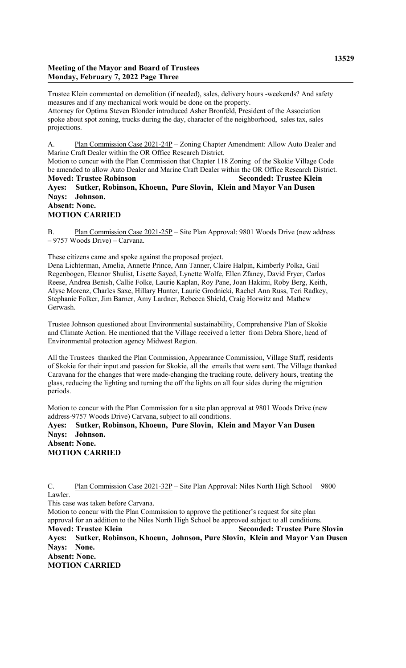#### **Meeting of the Mayor and Board of Trustees Monday, February 7, 2022 Page Three**

Trustee Klein commented on demolition (if needed), sales, delivery hours -weekends? And safety measures and if any mechanical work would be done on the property. Attorney for Optima Steven Blonder introduced Asher Bronfeld, President of the Association spoke about spot zoning, trucks during the day, character of the neighborhood, sales tax, sales projections.

A. Plan Commission Case 2021-24P – Zoning Chapter Amendment: Allow Auto Dealer and Marine Craft Dealer within the OR Office Research District. Motion to concur with the Plan Commission that Chapter 118 Zoning of the Skokie Village Code be amended to allow Auto Dealer and Marine Craft Dealer within the OR Office Research District. **Moved: Trustee Robinson Seconded: Trustee Klein Ayes: Sutker, Robinson, Khoeun, Pure Slovin, Klein and Mayor Van Dusen Nays: Johnson. Absent: None. MOTION CARRIED**

B. Plan Commission Case 2021-25P – Site Plan Approval: 9801 Woods Drive (new address – 9757 Woods Drive) – Carvana.

These citizens came and spoke against the proposed project.

Dena Lichterman, Amelia, Annette Prince, Ann Tanner, Claire Halpin, Kimberly Polka, Gail Regenbogen, Eleanor Shulist, Lisette Sayed, Lynette Wolfe, Ellen Zfaney, David Fryer, Carlos Reese, Andrea Benish, Callie Folke, Laurie Kaplan, Roy Pane, Joan Hakimi, Roby Berg, Keith, Alyse Morenz, Charles Saxe, Hillary Hunter, Laurie Grodnicki, Rachel Ann Russ, Teri Radkey, Stephanie Folker, Jim Barner, Amy Lardner, Rebecca Shield, Craig Horwitz and Mathew Gerwash.

Trustee Johnson questioned about Environmental sustainability, Comprehensive Plan of Skokie and Climate Action. He mentioned that the Village received a letter from Debra Shore, head of Environmental protection agency Midwest Region.

All the Trustees thanked the Plan Commission, Appearance Commission, Village Staff, residents of Skokie for their input and passion for Skokie, all the emails that were sent. The Village thanked Caravana for the changes that were made-changing the trucking route, delivery hours, treating the glass, reducing the lighting and turning the off the lights on all four sides during the migration periods.

Motion to concur with the Plan Commission for a site plan approval at 9801 Woods Drive (new address-9757 Woods Drive) Carvana, subject to all conditions.

#### **Ayes: Sutker, Robinson, Khoeun, Pure Slovin, Klein and Mayor Van Dusen Nays: Johnson. Absent: None.**

**MOTION CARRIED**

C. Plan Commission Case 2021-32P – Site Plan Approval: Niles North High School 9800 Lawler.

This case was taken before Carvana.

Motion to concur with the Plan Commission to approve the petitioner's request for site plan approval for an addition to the Niles North High School be approved subject to all conditions. **Moved: Trustee Klein Seconded: Trustee Pure Slovin Ayes: Sutker, Robinson, Khoeun, Johnson, Pure Slovin, Klein and Mayor Van Dusen Nays: None. Absent: None. MOTION CARRIED**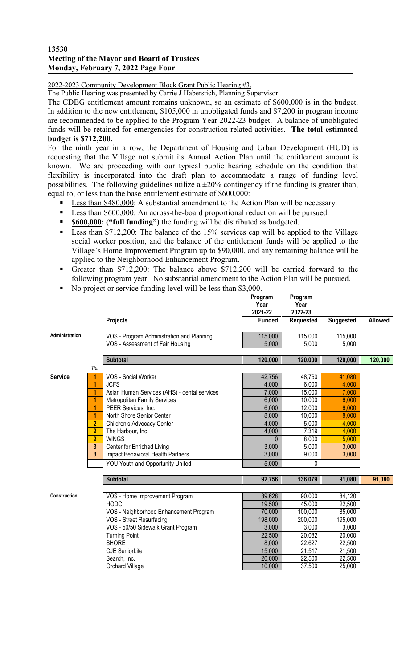### **13530 Meeting of the Mayor and Board of Trustees Monday, February 7, 2022 Page Four**

2022-2023 Community Development Block Grant Public Hearing #3.

The Public Hearing was presented by Carrie J Haberstich, Planning Supervisor

The CDBG entitlement amount remains unknown, so an estimate of \$600,000 is in the budget. In addition to the new entitlement, \$105,000 in unobligated funds and \$7,200 in program income are recommended to be applied to the Program Year 2022-23 budget. A balance of unobligated funds will be retained for emergencies for construction-related activities. **The total estimated budget is \$712,200.**

For the ninth year in a row, the Department of Housing and Urban Development (HUD) is requesting that the Village not submit its Annual Action Plan until the entitlement amount is known. We are proceeding with our typical public hearing schedule on the condition that flexibility is incorporated into the draft plan to accommodate a range of funding level possibilities. The following guidelines utilize a  $\pm 20\%$  contingency if the funding is greater than, equal to, or less than the base entitlement estimate of \$600,000:

- Less than \$480,000: A substantial amendment to the Action Plan will be necessary.
- **Less than \$600,000:** An across-the-board proportional reduction will be pursued.
- **\$600,000: ("full funding")** the funding will be distributed as budgeted.
- Less than \$712,200: The balance of the 15% services cap will be applied to the Village social worker position, and the balance of the entitlement funds will be applied to the Village's Home Improvement Program up to \$90,000, and any remaining balance will be applied to the Neighborhood Enhancement Program.
- Greater than \$712,200: The balance above \$712,200 will be carried forward to the following program year. No substantial amendment to the Action Plan will be pursued.
- No project or service funding level will be less than \$3,000.

|                     |                         |                                              | Program<br>Year<br>2021-22 | Program<br>Year<br>2022-23 |                  |         |
|---------------------|-------------------------|----------------------------------------------|----------------------------|----------------------------|------------------|---------|
|                     |                         | Projects                                     | <b>Funded</b>              | <b>Requested</b>           | <b>Suggested</b> | Allowed |
| Administration      |                         | VOS - Program Administration and Planning    | 115,000                    | 115,000                    | 115,000          |         |
|                     |                         | VOS - Assessment of Fair Housing             | 5,000                      | 5,000                      | 5,000            |         |
|                     |                         | <b>Subtotal</b>                              | 120,000                    | 120,000                    | 120,000          | 120,000 |
|                     | Tier                    |                                              |                            |                            |                  |         |
| <b>Service</b>      |                         | VOS - Social Worker                          | 42,756                     | 48,760                     | 41,080           |         |
|                     | 1                       | <b>JCFS</b>                                  | 4,000                      | 6,000                      | 4,000            |         |
|                     | 1                       | Asian Human Services (AHS) - dental services | 7,000                      | 15,000                     | 7,000            |         |
|                     | 1                       | <b>Metropolitan Family Services</b>          | 6,000                      | 10,000                     | 6,000            |         |
|                     | 1                       | PEER Services, Inc.                          | 6,000                      | 12,000                     | 6,000            |         |
|                     | 1                       | North Shore Senior Center                    | 8,000                      | 10,000                     | 8,000            |         |
|                     | $\overline{2}$          | Children's Advocacy Center                   | 4,000                      | 5,000                      | 4,000            |         |
|                     | $\overline{2}$          | The Harbour, Inc.                            | 4,000                      | 7,319                      | 4,000            |         |
|                     | $\overline{2}$          | <b>WINGS</b>                                 | 0                          | 8,000                      | 5,000            |         |
|                     | $\overline{\mathbf{3}}$ | Center for Enriched Living                   | 3,000                      | 5,000                      | 3,000            |         |
|                     | $\overline{3}$          | Impact Behavioral Health Partners            | 3,000                      | 9,000                      | 3,000            |         |
|                     |                         | YOU Youth and Opportunity United             | 5,000                      | 0                          |                  |         |
|                     |                         | <b>Subtotal</b>                              | 92,756                     | 136,079                    | 91,080           | 91,080  |
|                     |                         |                                              |                            |                            |                  |         |
| <b>Construction</b> |                         | VOS - Home Improvement Program               | 89,628                     | 90,000                     | 84,120           |         |
|                     |                         | <b>HODC</b>                                  | 19,500                     | 45,000                     | 22,500           |         |
|                     |                         | VOS - Neighborhood Enhancement Program       | 70,000                     | 100,000                    | 85,000           |         |
|                     |                         | VOS - Street Resurfacing                     | 198,000                    | 200,000                    | 195,000          |         |
|                     |                         | VOS - 50/50 Sidewalk Grant Program           | 3,000                      | 3,000                      | 3,000            |         |
|                     |                         | <b>Turning Point</b>                         | 22,500                     | 20,082                     | 20,000           |         |
|                     |                         | <b>SHORE</b>                                 | 8,000                      | 22,627                     | 22,500           |         |
|                     |                         | <b>CJE SeniorLife</b>                        | 15,000                     | 21,517                     | 21,500           |         |
|                     |                         | Search, Inc.                                 | 20,000                     | 22,500                     | 22,500           |         |
|                     |                         | Orchard Village                              | 10,000                     | 37,500                     | 25,000           |         |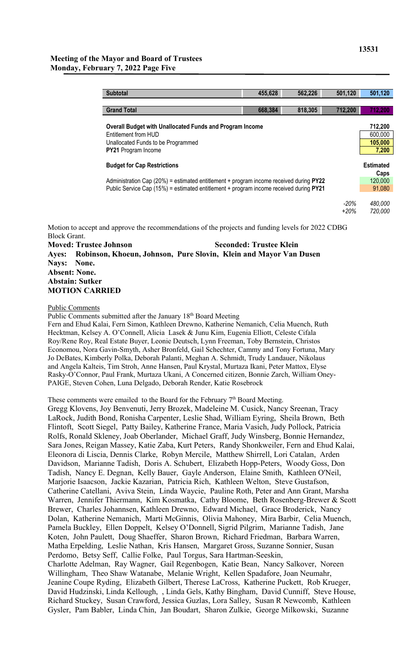| <b>Subtotal</b>                                                                                                                                                                    | 455,628 | 562,226                  | 501,120        | 501,120            |  |  |
|------------------------------------------------------------------------------------------------------------------------------------------------------------------------------------|---------|--------------------------|----------------|--------------------|--|--|
|                                                                                                                                                                                    |         |                          |                |                    |  |  |
| <b>Grand Total</b>                                                                                                                                                                 | 668,384 | 818,305                  | 712,200        | 712,200            |  |  |
| Overall Budget with Unallocated Funds and Program Income<br>Entitlement from HUD<br>Unallocated Funds to be Programmed<br><b>PY21</b> Program Income                               |         |                          |                |                    |  |  |
| <b>Budget for Cap Restrictions</b>                                                                                                                                                 |         | <b>Estimated</b><br>Caps |                |                    |  |  |
| Administration Cap $(20%)$ = estimated entitlement + program income received during PY22<br>Public Service Cap (15%) = estimated entitlement + program income received during PY21 |         |                          |                |                    |  |  |
|                                                                                                                                                                                    |         |                          | -20%<br>$+20%$ | 480.000<br>720,000 |  |  |

Motion to accept and approve the recommendations of the projects and funding levels for 2022 CDBG Block Grant. **Moved: Trustee Johnson Seconded: Trustee Klein**

**Ayes: Robinson, Khoeun, Johnson, Pure Slovin, Klein and Mayor Van Dusen Nays: None. Absent: None. Abstain: Sutker MOTION CARRIED**

#### Public Comments

Public Comments submitted after the January 18<sup>th</sup> Board Meeting

Fern and Ehud Kalai, Fern Simon, Kathleen Drewno, Katherine Nemanich, Celia Muench, Ruth Hecktman, Kelsey A. O'Connell, Alicia Lasek & Junu Kim, Eugenia Elliott, Celeste Cifala Roy/Rene Roy, Real Estate Buyer, Leonie Deutsch, Lynn Freeman, Toby Bernstein, Christos Economou, Nora Gavin-Smyth, Asher Bronfeld, Gail Schechter, Cammy and Tony Fortuna, Mary Jo DeBates, Kimberly Polka, Deborah Palanti, Meghan A. Schmidt, Trudy Landauer, Nikolaus and Angela Kalteis, Tim Stroh, Anne Hansen, Paul Krystal, Murtaza Ikani, Peter Mattox, Elyse Rasky-O'Connor, Paul Frank, Murtaza Ukani, A Concerned citizen, Bonnie Zarch, William Oney-PAIGE, Steven Cohen, Luna Delgado, Deborah Render, Katie Rosebrock

These comments were emailed to the Board for the February  $7<sup>th</sup>$  Board Meeting.

Gregg Klovens, Joy Benvenuti, Jerry Brozek, Madeleine M. Cusick, Nancy Sreenan, Tracy LaRock, Judith Bond, Ronisha Carpenter, Leslie Shad, William Eyring, Sheila Brown, Beth Flintoft, Scott Siegel, Patty Bailey, Katherine France, Maria Vasich, Judy Pollock, Patricia Rolfs, Ronald Skleney, Joab Oberlander, Michael Graff, Judy Winsberg, Bonnie Hernandez, Sara Jones, Reigan Massey, Katie Zaba, Kurt Peters, Randy Shonkweiler, Fern and Ehud Kalai, Eleonora di Liscia, Dennis Clarke, Robyn Mercile, Matthew Shirrell, Lori Catalan, Arden Davidson, Marianne Tadish, Doris A. Schubert, Elizabeth Hopp-Peters, Woody Goss, Don Tadish, Nancy E. Degnan, Kelly Bauer, Gayle Anderson, Elaine Smith, Kathleen O'Neil, Marjorie Isaacson, Jackie Kazarian, Patricia Rich, Kathleen Welton, Steve Gustafson, Catherine Catellani, Aviva Stein, Linda Waycie, Pauline Roth, Peter and Ann Grant, Marsha Warren, Jennifer Thiermann, Kim Kosmatka, Cathy Bloome, Beth Rosenberg-Brewer & Scott Brewer, Charles Johannsen, Kathleen Drewno, Edward Michael, Grace Broderick, Nancy Dolan, Katherine Nemanich, Marti McGinnis, Olivia Mahoney, Mira Barbir, Celia Muench, Pamela Buckley, Ellen Doppelt, Kelsey O'Donnell, Sigrid Pilgrim, Marianne Tadish, Jane Koten, John Paulett, Doug Shaeffer, Sharon Brown, Richard Friedman, Barbara Warren, Matha Erpelding, Leslie Nathan, Kris Hansen, Margaret Gross, Suzanne Sonnier, Susan Perdomo, Betsy Seff, Callie Folke, Paul Torgus, Sara Hartman-Seeskin, Charlotte Adelman, Ray Wagner, Gail Regenbogen, Katie Bean, Nancy Salkover, Noreen Willingham, Theo Shaw Watanabe, Melanie Wright, Kellen Spadafore, Joan Neumahr, Jeanine Coupe Ryding, Elizabeth Gilbert, Therese LaCross, Katherine Puckett, Rob Krueger, David Hudzinski, Linda Kellough, , Linda Gels, Kathy Bingham, David Cunniff, Steve House, Richard Stuckey, Susan Crawford, Jessica Guzlas, Lora Salley, Susan R Newcomb, Kathleen Gysler, Pam Babler, Linda Chin, Jan Boudart, Sharon Zulkie, George Milkowski, Suzanne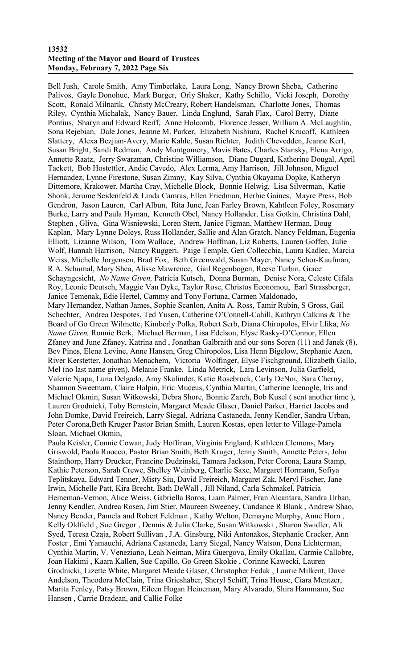### **13532 Meeting of the Mayor and Board of Trustees Monday, February 7, 2022 Page Six**

Bell Jush, Carole Smith, Amy Timberlake, Laura Long, Nancy Brown Sheba, Catherine Palivos, Gayle Donohue, Mark Burger, Orly Shaker, Kathy Schillo, Vicki Joseph, Dorothy Scott, Ronald Milnarik, Christy McCreary, Robert Handelsman, Charlotte Jones, Thomas Riley, Cynthia Michalak, Nancy Bauer, Linda Englund, Sarah Flax, Carol Berry, Diane Pontius, Sharyn and Edward Reiff, Anne Holcomb, Florence Jesser, William A. McLaughlin, Sona Rejebian, Dale Jones, Jeanne M. Parker, Elizabeth Nishiura, Rachel Krucoff, Kathleen Slattery, Alexa Bezjian-Avery, Marie Kahle, Susan Richter, Judith Chevedden, Jeanne Kerl, Susan Bright, Sandi Redman, Andy Montgomery, Mavis Bates, Charles Stansky, Elena Arrigo, Annette Raatz, Jerry Swarzman, Christine Williamson, Diane Dugard, Katherine Dougal, April Tackett, Bob Hostettler, Andie Cavedo, Alex Lerma, Amy Harrison, Jill Johnson, Miguel Hernandez, Lynne Firestone, Susan Zimny, Kay Silva, Cynthia Okayama Dopke, Katheryn Dittemore, Krakower, Martha Cray, Michelle Block, Bonnie Helwig, Lisa Silverman, Katie Shonk, Jerome Seidenfeld & Linda Camras, Ellen Friedman, Herbie Gaines, Mayre Press, Bob Gendron, Jason Lauren, Carl Albun, Rita June, Jean Farley Brown, Kahtleen Foley, Rosemary Burke, Larry and Paula Hyman, Kenneth Obel, Nancy Hollander, Lisa Gotkin, Christina Dahl, Stephen , Gliva, Gina Wisniewski, Loren Stern, Janice Figman, Matthew Herman, Doug Kaplan, Mary Lynne Doleys, Russ Hollander, Sallie and Alan Gratch. Nancy Feldman, Eugenia Elliott, Lizanne Wilson, Tom Wallace, Andrew Hoffman, Liz Roberts, Lauren Goffen, Julie Wolf, Hannah Harrison, Nancy Ruggeri, Paige Temple, Geri Collecchia, Laura Kadlec, Marcia Weiss, Michelle Jorgensen, Brad Fox, Beth Greenwald, Susan Mayer, Nancy Schor-Kaufman, R.A. Schumal, Mary Shea, Alisse Mawrence, Gail Regenbogen, Reese Turbin, Grace Schayngesicht, *No Name Given,* Patricia Kutsch, Donna Burman, Denise Nora, Celeste Cifala Roy, Leonie Deutsch, Maggie Van Dyke, Taylor Rose, Christos Economou, Earl Strassberger, Janice Temenak, Edie Hertel, Cammy and Tony Fortuna, Carmen Maldonado, Mary Hernandez, Nathan James, Sophie Scanlon, Anita A. Ross, Tamir Rubin, S Gross, Gail Schechter, Andrea Despotes, Ted Yusen, Catherine O'Connell-Cahill, Kathryn Calkins & The Board of Go Green Wilmette, Kimberly Polka, Robert Serb, Diana Chiropolos, Elvir Llika, *No Name Given,* Ronnie Berk, Michael Berman, Lisa Edelson, Elyse Rasky-O'Connor, Ellen Zfaney and June Zfaney, Katrina and , Jonathan Galbraith and our sons Soren (11) and Janek (8), Bev Pines, Elena Levine, Anne Hansen, Greg Chiropolos, Lisa Henn Bigelow, Stephanie Azen, River Kerstetter, Jonathan Menachem, Victoria Wolfinger, Elyse Fischground, Elizabeth Gallo, Mel (no last name given), Melanie Franke, Linda Metrick, Lara Levinson, Julia Garfield, Valerie Njapa, Luna Delgado, Amy Skalinder, Katie Rosebrock, Carly DeNoi, Sara Cherny, Shannon Sweetnam, Claire Halpin, Eric Muceus, Cynthia Martin, Catherine Icenogle, Iris and Michael Okmin, Susan Witkowski, Debra Shore, Bonnie Zarch, Bob Kusel ( sent another time ), Lauren Grodnicki, Toby Bernstein, Margaret Meade Glaser, Daniel Parker, Harriet Jacobs and John Domke, David Freireich, Larry Siegal, Adriana Castaneda, Jenny Kendler, Sandra Urban, Peter Corona,Beth Kruger Pastor Brian Smith, Lauren Kostas, open letter to Village-Pamela Sloan, Michael Okmin,

Paula Keisler, Connie Cowan, Judy Hoffman, Virginia England, Kathleen Clemons, Mary Griswold, Paola Ruocco, Pastor Brian Smith, Beth Kruger, Jenny Smith, Annette Peters, John Stainthorp, Harry Drucker, Francine Dudzinski, Tamara Jackson, Peter Corona, Laura Stamp, Kathie Peterson, Sarah Crewe, Shelley Weinberg, Charlie Saxe, Margaret Hormann, Sofiya Teplitskaya, Edward Tenner, Misty Siu, David Freireich, Margaret Zak, Meryl Fischer, Jane Irwin, Michelle Patt, Kira Brecht, Bath DeWall , Jill Niland, Carla Schmakel, Patricia Heineman-Vernon, Alice Weiss, Gabriella Boros, Liam Palmer, Fran Alcantara, Sandra Urban, Jenny Kendler, Andrea Rosen, Jim Stier, Maureen Sweeney, Candance R Blank , Andrew Shao, Nancy Bender, Pamela and Robert Feldman , Kathy Welton, Demayne Murphy, Anne Horn , Kelly Oldfield , Sue Gregor , Dennis & Julia Clarke, Susan Witkowski , Sharon Swidler, Ali Syed, Teresa Czaja, Robert Sullivan , J.A. Ginsburg, Niki Antonakos, Stephanie Crocker, Ann Foster , Emi Yamauchi, Adriana Castaneda, Larry Siegal, Nancy Watson, Dena Lichterman, Cynthia Martin, V. Veneziano, Leah Neiman, Mira Guergova, Emily Okallau, Carmie Callobre, Joan Hakimi , Kaara Kallen, Sue Capillo, Go Green Skokie , Corinne Kawecki, Lauren Grodnicki, Lizette White, Margaret Meade Glaser, Christopher Fedak , Laurie Milkent, Dave Andelson, Theodora McClain, Trina Grieshaber, Sheryl Schiff, Trina House, Ciara Mentzer, Marita Fenley, Patsy Brown, Eileen Hogan Heineman, Mary Alvarado, Shira Hammann, Sue Hansen , Carrie Bradean, and Callie Folke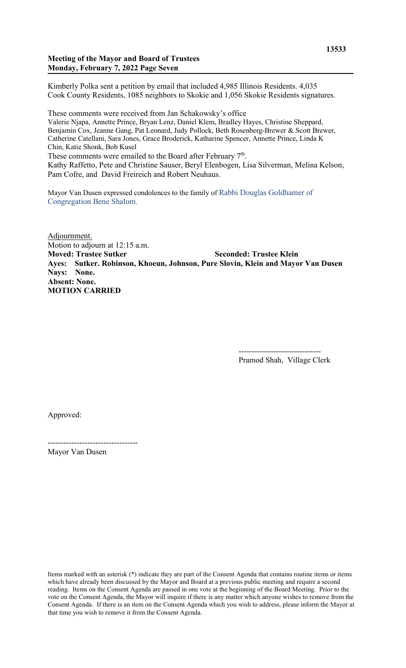## **Meeting of the Mayor and Board of Trustees Monday, February 7, 2022 Page Seven**

Kimberly Polka sent a petition by email that included 4,985 Illinois Residents. 4,035 Cook County Residents, 1085 neighbors to Skokie and 1,056 Skokie Residents signatures.

These comments were received from Jan Schakowsky's office

Valerie Njapa, Annette Prince, Bryan Lenz, Daniel Klem, Bradley Hayes, Christine Sheppard, Benjamin Cox, Jeanne Gang, Pat Leonard, Judy Pollock, Beth Rosenberg-Brewer & Scott Brewer, Catherine Catellani, Sara Jones, Grace Broderick, Katharine Spencer, Annette Prince, Linda K Chin, Katie Shonk, Bob Kusel

These comments were emailed to the Board after February  $7<sup>th</sup>$ .

Kathy Raffetto, Pete and Christine Sauser, Beryl Elenbogen, Lisa Silverman, Melina Kelson, Pam Cofre, and David Freireich and Robert Neuhaus.

Mayor Van Dusen expressed condolences to the family of Rabbi Douglas Goldhamer of Congregation Bene Shalom.

Adjournment. Motion to adjourn at 12:15 a.m. **Moved: Trustee Sutker Seconded: Trustee Klein Ayes: Sutker. Robinson, Khoeun, Johnson, Pure Slovin, Klein and Mayor Van Dusen Nays: None. Absent: None. MOTION CARRIED**

> ------------------------------- Pramod Shah, Village Clerk

Approved:

---------------------------------- Mayor Van Dusen

Items marked with an asterisk (\*) indicate they are part of the Consent Agenda that contains routine items or items which have already been discussed by the Mayor and Board at a previous public meeting and require a second reading. Items on the Consent Agenda are passed in one vote at the beginning of the Board Meeting. Prior to the vote on the Consent Agenda, the Mayor will inquire if there is any matter which anyone wishes to remove from the Consent Agenda. If there is an item on the Consent Agenda which you wish to address, please inform the Mayor at that time you wish to remove it from the Consent Agenda.